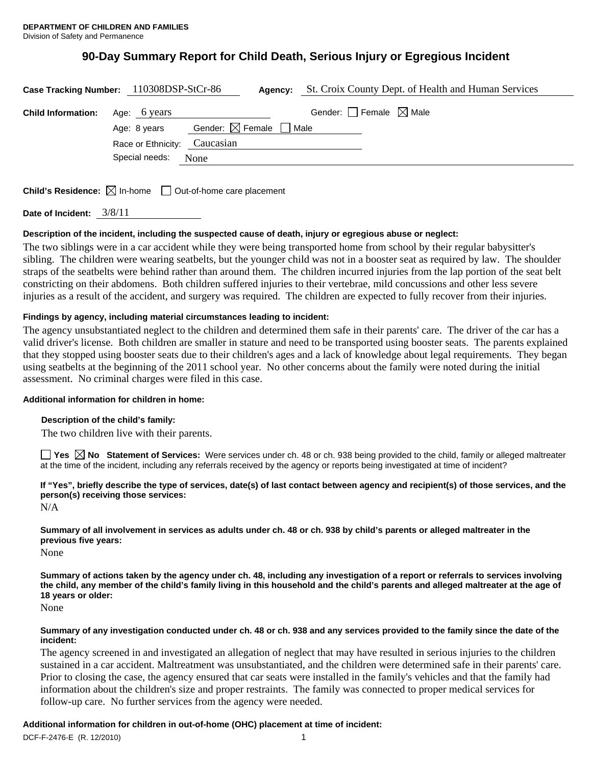# **90-Day Summary Report for Child Death, Serious Injury or Egregious Incident**

| Case Tracking Number: 110308DSP-StCr-86 |                    | Agency:                           |                                 | St. Croix County Dept. of Health and Human Services |
|-----------------------------------------|--------------------|-----------------------------------|---------------------------------|-----------------------------------------------------|
| <b>Child Information:</b>               | Age: 6 years       |                                   | Gender: Female $\boxtimes$ Male |                                                     |
|                                         | Age: 8 years       | Gender: $\boxtimes$ Female $\Box$ | Male                            |                                                     |
|                                         | Race or Ethnicity: | Caucasian                         |                                 |                                                     |
|                                         | Special needs:     | None                              |                                 |                                                     |
|                                         |                    |                                   |                                 |                                                     |

**Child's Residence:**  $\boxtimes$  In-home  $\Box$  Out-of-home care placement

**Date of Incident:** 3/8/11

# **Description of the incident, including the suspected cause of death, injury or egregious abuse or neglect:**

The two siblings were in a car accident while they were being transported home from school by their regular babysitter's sibling. The children were wearing seatbelts, but the younger child was not in a booster seat as required by law. The shoulder straps of the seatbelts were behind rather than around them. The children incurred injuries from the lap portion of the seat belt constricting on their abdomens. Both children suffered injuries to their vertebrae, mild concussions and other less severe injuries as a result of the accident, and surgery was required. The children are expected to fully recover from their injuries.

# **Findings by agency, including material circumstances leading to incident:**

The agency unsubstantiated neglect to the children and determined them safe in their parents' care. The driver of the car has a valid driver's license. Both children are smaller in stature and need to be transported using booster seats. The parents explained that they stopped using booster seats due to their children's ages and a lack of knowledge about legal requirements. They began using seatbelts at the beginning of the 2011 school year. No other concerns about the family were noted during the initial assessment. No criminal charges were filed in this case.

#### **Additional information for children in home:**

# **Description of the child's family:**

The two children live with their parents.

**Yes No Statement of Services:** Were services under ch. 48 or ch. 938 being provided to the child, family or alleged maltreater at the time of the incident, including any referrals received by the agency or reports being investigated at time of incident?

**If "Yes", briefly describe the type of services, date(s) of last contact between agency and recipient(s) of those services, and the person(s) receiving those services:** 

N/A

**Summary of all involvement in services as adults under ch. 48 or ch. 938 by child's parents or alleged maltreater in the previous five years:** 

None

**Summary of actions taken by the agency under ch. 48, including any investigation of a report or referrals to services involving the child, any member of the child's family living in this household and the child's parents and alleged maltreater at the age of 18 years or older:** 

None

#### **Summary of any investigation conducted under ch. 48 or ch. 938 and any services provided to the family since the date of the incident:**

The agency screened in and investigated an allegation of neglect that may have resulted in serious injuries to the children sustained in a car accident. Maltreatment was unsubstantiated, and the children were determined safe in their parents' care. Prior to closing the case, the agency ensured that car seats were installed in the family's vehicles and that the family had information about the children's size and proper restraints. The family was connected to proper medical services for follow-up care. No further services from the agency were needed.

# **Additional information for children in out-of-home (OHC) placement at time of incident:**

DCF-F-2476-E (R. 12/2010) 1